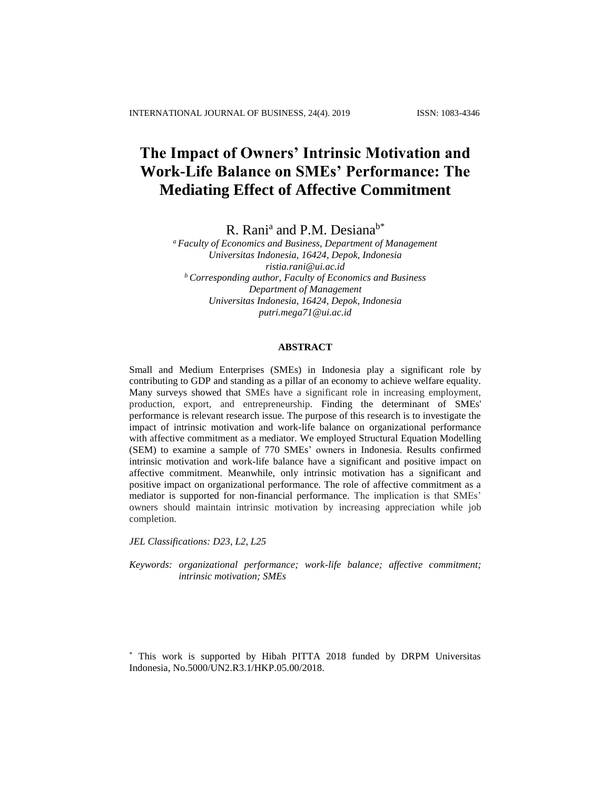# **The Impact of Owners' Intrinsic Motivation and Work-Life Balance on SMEs' Performance: The Mediating Effect of Affective Commitment**

R. Rani<sup>a</sup> and P.M. Desiana<sup>b\*</sup>

*<sup>a</sup> Faculty of Economics and Business, Department of Management Universitas Indonesia, 16424, Depok, Indonesia ristia.rani@ui.ac.id <sup>b</sup> Corresponding author, Faculty of Economics and Business Department of Management Universitas Indonesia, 16424, Depok, Indonesia putri.mega71@ui.ac.id*

## **ABSTRACT**

Small and Medium Enterprises (SMEs) in Indonesia play a significant role by contributing to GDP and standing as a pillar of an economy to achieve welfare equality. Many surveys showed that SMEs have a significant role in increasing employment, production, export, and entrepreneurship. Finding the determinant of SMEs' performance is relevant research issue. The purpose of this research is to investigate the impact of intrinsic motivation and work-life balance on organizational performance with affective commitment as a mediator. We employed Structural Equation Modelling (SEM) to examine a sample of 770 SMEs' owners in Indonesia. Results confirmed intrinsic motivation and work-life balance have a significant and positive impact on affective commitment. Meanwhile, only intrinsic motivation has a significant and positive impact on organizational performance. The role of affective commitment as a mediator is supported for non-financial performance. The implication is that SMEs' owners should maintain intrinsic motivation by increasing appreciation while job completion.

*JEL Classifications: D23, L2, L25*

*Keywords: organizational performance; work-life balance; affective commitment; intrinsic motivation; SMEs*

\* This work is supported by Hibah PITTA 2018 funded by DRPM Universitas Indonesia, No.5000/UN2.R3.1/HKP.05.00/2018.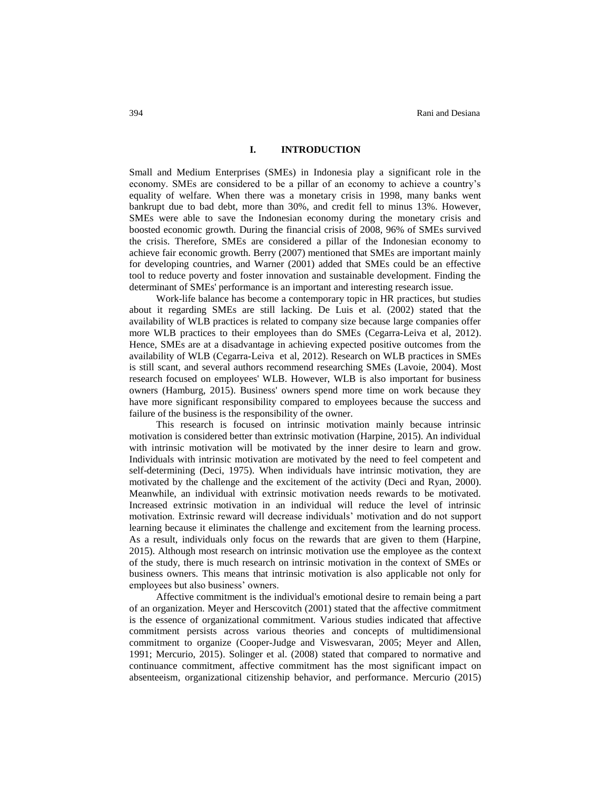#### **I. INTRODUCTION**

Small and Medium Enterprises (SMEs) in Indonesia play a significant role in the economy. SMEs are considered to be a pillar of an economy to achieve a country's equality of welfare. When there was a monetary crisis in 1998, many banks went bankrupt due to bad debt, more than 30%, and credit fell to minus 13%. However, SMEs were able to save the Indonesian economy during the monetary crisis and boosted economic growth. During the financial crisis of 2008, 96% of SMEs survived the crisis. Therefore, SMEs are considered a pillar of the Indonesian economy to achieve fair economic growth. Berry (2007) mentioned that SMEs are important mainly for developing countries, and Warner (2001) added that SMEs could be an effective tool to reduce poverty and foster innovation and sustainable development. Finding the determinant of SMEs' performance is an important and interesting research issue.

Work-life balance has become a contemporary topic in HR practices, but studies about it regarding SMEs are still lacking. De Luis et al. (2002) stated that the availability of WLB practices is related to company size because large companies offer more WLB practices to their employees than do SMEs (Cegarra-Leiva et al, 2012). Hence, SMEs are at a disadvantage in achieving expected positive outcomes from the availability of WLB (Cegarra‐Leiva et al, 2012). Research on WLB practices in SMEs is still scant, and several authors recommend researching SMEs (Lavoie, 2004). Most research focused on employees' WLB. However, WLB is also important for business owners (Hamburg, 2015). Business' owners spend more time on work because they have more significant responsibility compared to employees because the success and failure of the business is the responsibility of the owner.

This research is focused on intrinsic motivation mainly because intrinsic motivation is considered better than extrinsic motivation (Harpine, 2015). An individual with intrinsic motivation will be motivated by the inner desire to learn and grow. Individuals with intrinsic motivation are motivated by the need to feel competent and self-determining (Deci, 1975). When individuals have intrinsic motivation, they are motivated by the challenge and the excitement of the activity (Deci and Ryan, 2000). Meanwhile, an individual with extrinsic motivation needs rewards to be motivated. Increased extrinsic motivation in an individual will reduce the level of intrinsic motivation. Extrinsic reward will decrease individuals' motivation and do not support learning because it eliminates the challenge and excitement from the learning process. As a result, individuals only focus on the rewards that are given to them (Harpine, 2015). Although most research on intrinsic motivation use the employee as the context of the study, there is much research on intrinsic motivation in the context of SMEs or business owners. This means that intrinsic motivation is also applicable not only for employees but also business' owners.

Affective commitment is the individual's emotional desire to remain being a part of an organization. Meyer and Herscovitch (2001) stated that the affective commitment is the essence of organizational commitment. Various studies indicated that affective commitment persists across various theories and concepts of multidimensional commitment to organize (Cooper-Judge and Viswesvaran, 2005; Meyer and Allen, 1991; Mercurio, 2015). Solinger et al. (2008) stated that compared to normative and continuance commitment, affective commitment has the most significant impact on absenteeism, organizational citizenship behavior, and performance. Mercurio (2015)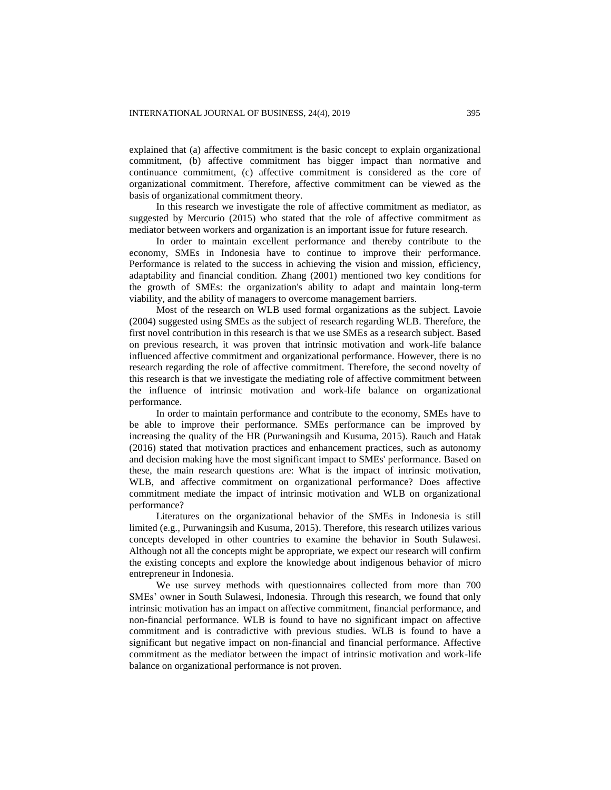explained that (a) affective commitment is the basic concept to explain organizational commitment, (b) affective commitment has bigger impact than normative and continuance commitment, (c) affective commitment is considered as the core of organizational commitment. Therefore, affective commitment can be viewed as the basis of organizational commitment theory.

In this research we investigate the role of affective commitment as mediator, as suggested by Mercurio (2015) who stated that the role of affective commitment as mediator between workers and organization is an important issue for future research.

In order to maintain excellent performance and thereby contribute to the economy, SMEs in Indonesia have to continue to improve their performance. Performance is related to the success in achieving the vision and mission, efficiency, adaptability and financial condition. Zhang (2001) mentioned two key conditions for the growth of SMEs: the organization's ability to adapt and maintain long-term viability, and the ability of managers to overcome management barriers.

Most of the research on WLB used formal organizations as the subject. Lavoie (2004) suggested using SMEs as the subject of research regarding WLB. Therefore, the first novel contribution in this research is that we use SMEs as a research subject. Based on previous research, it was proven that intrinsic motivation and work-life balance influenced affective commitment and organizational performance. However, there is no research regarding the role of affective commitment. Therefore, the second novelty of this research is that we investigate the mediating role of affective commitment between the influence of intrinsic motivation and work-life balance on organizational performance.

In order to maintain performance and contribute to the economy, SMEs have to be able to improve their performance. SMEs performance can be improved by increasing the quality of the HR (Purwaningsih and Kusuma, 2015). Rauch and Hatak (2016) stated that motivation practices and enhancement practices, such as autonomy and decision making have the most significant impact to SMEs' performance. Based on these, the main research questions are: What is the impact of intrinsic motivation, WLB, and affective commitment on organizational performance? Does affective commitment mediate the impact of intrinsic motivation and WLB on organizational performance?

Literatures on the organizational behavior of the SMEs in Indonesia is still limited (e.g., Purwaningsih and Kusuma, 2015). Therefore, this research utilizes various concepts developed in other countries to examine the behavior in South Sulawesi. Although not all the concepts might be appropriate, we expect our research will confirm the existing concepts and explore the knowledge about indigenous behavior of micro entrepreneur in Indonesia.

We use survey methods with questionnaires collected from more than 700 SMEs' owner in South Sulawesi, Indonesia. Through this research, we found that only intrinsic motivation has an impact on affective commitment, financial performance, and non-financial performance. WLB is found to have no significant impact on affective commitment and is contradictive with previous studies. WLB is found to have a significant but negative impact on non-financial and financial performance. Affective commitment as the mediator between the impact of intrinsic motivation and work-life balance on organizational performance is not proven.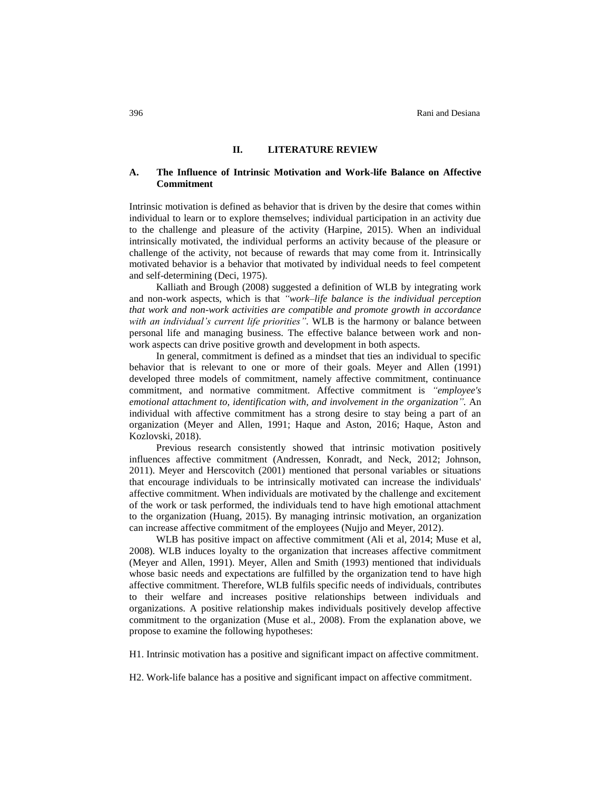#### **II. LITERATURE REVIEW**

## **A. The Influence of Intrinsic Motivation and Work-life Balance on Affective Commitment**

Intrinsic motivation is defined as behavior that is driven by the desire that comes within individual to learn or to explore themselves; individual participation in an activity due to the challenge and pleasure of the activity (Harpine, 2015). When an individual intrinsically motivated, the individual performs an activity because of the pleasure or challenge of the activity, not because of rewards that may come from it. Intrinsically motivated behavior is a behavior that motivated by individual needs to feel competent and self-determining (Deci, 1975).

Kalliath and Brough (2008) suggested a definition of WLB by integrating work and non-work aspects, which is that *"work–life balance is the individual perception that work and non-work activities are compatible and promote growth in accordance with an individual's current life priorities"*. WLB is the harmony or balance between personal life and managing business. The effective balance between work and nonwork aspects can drive positive growth and development in both aspects.

In general, commitment is defined as a mindset that ties an individual to specific behavior that is relevant to one or more of their goals. Meyer and Allen (1991) developed three models of commitment, namely affective commitment, continuance commitment, and normative commitment. Affective commitment is *"employee's emotional attachment to, identification with, and involvement in the organization".* An individual with affective commitment has a strong desire to stay being a part of an organization (Meyer and Allen, 1991; Haque and Aston, 2016; Haque, Aston and Kozlovski, 2018).

Previous research consistently showed that intrinsic motivation positively influences affective commitment (Andressen, Konradt, and Neck, 2012; Johnson, 2011). Meyer and Herscovitch (2001) mentioned that personal variables or situations that encourage individuals to be intrinsically motivated can increase the individuals' affective commitment. When individuals are motivated by the challenge and excitement of the work or task performed, the individuals tend to have high emotional attachment to the organization (Huang, 2015). By managing intrinsic motivation, an organization can increase affective commitment of the employees (Nujjo and Meyer, 2012).

WLB has positive impact on affective commitment (Ali et al, 2014; Muse et al, 2008). WLB induces loyalty to the organization that increases affective commitment (Meyer and Allen, 1991). Meyer, Allen and Smith (1993) mentioned that individuals whose basic needs and expectations are fulfilled by the organization tend to have high affective commitment. Therefore, WLB fulfils specific needs of individuals, contributes to their welfare and increases positive relationships between individuals and organizations. A positive relationship makes individuals positively develop affective commitment to the organization (Muse et al., 2008). From the explanation above, we propose to examine the following hypotheses:

H1. Intrinsic motivation has a positive and significant impact on affective commitment.

H2. Work-life balance has a positive and significant impact on affective commitment.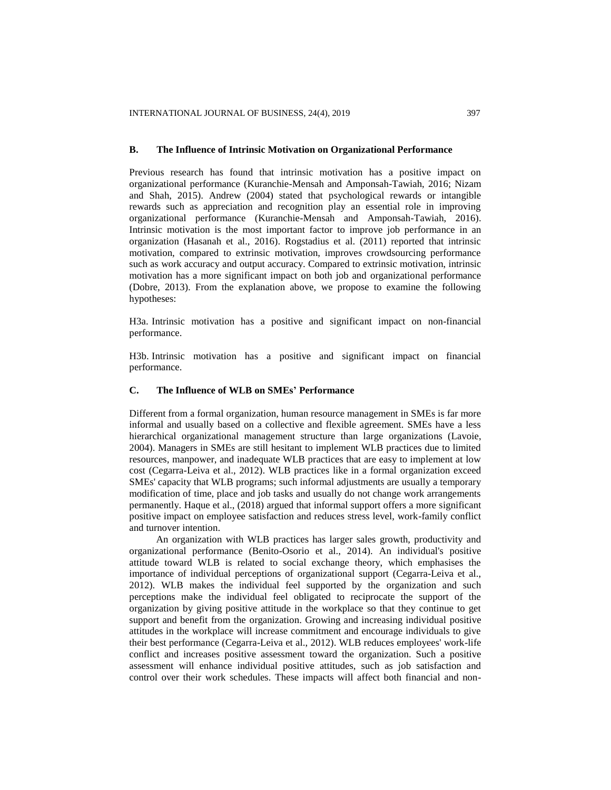## **B. The Influence of Intrinsic Motivation on Organizational Performance**

Previous research has found that intrinsic motivation has a positive impact on organizational performance (Kuranchie-Mensah and Amponsah-Tawiah, 2016; Nizam and Shah, 2015). Andrew (2004) stated that psychological rewards or intangible rewards such as appreciation and recognition play an essential role in improving organizational performance (Kuranchie-Mensah and Amponsah-Tawiah, 2016). Intrinsic motivation is the most important factor to improve job performance in an organization (Hasanah et al., 2016). Rogstadius et al. (2011) reported that intrinsic motivation, compared to extrinsic motivation, improves crowdsourcing performance such as work accuracy and output accuracy. Compared to extrinsic motivation, intrinsic motivation has a more significant impact on both job and organizational performance (Dobre, 2013). From the explanation above, we propose to examine the following hypotheses:

H3a. Intrinsic motivation has a positive and significant impact on non-financial performance.

H3b. Intrinsic motivation has a positive and significant impact on financial performance.

# **C. The Influence of WLB on SMEs' Performance**

Different from a formal organization, human resource management in SMEs is far more informal and usually based on a collective and flexible agreement. SMEs have a less hierarchical organizational management structure than large organizations (Lavoie, 2004). Managers in SMEs are still hesitant to implement WLB practices due to limited resources, manpower, and inadequate WLB practices that are easy to implement at low cost (Cegarra-Leiva et al., 2012). WLB practices like in a formal organization exceed SMEs' capacity that WLB programs; such informal adjustments are usually a temporary modification of time, place and job tasks and usually do not change work arrangements permanently. Haque et al., (2018) argued that informal support offers a more significant positive impact on employee satisfaction and reduces stress level, work-family conflict and turnover intention.

An organization with WLB practices has larger sales growth, productivity and organizational performance (Benito-Osorio et al., 2014). An individual's positive attitude toward WLB is related to social exchange theory, which emphasises the importance of individual perceptions of organizational support (Cegarra-Leiva et al., 2012). WLB makes the individual feel supported by the organization and such perceptions make the individual feel obligated to reciprocate the support of the organization by giving positive attitude in the workplace so that they continue to get support and benefit from the organization. Growing and increasing individual positive attitudes in the workplace will increase commitment and encourage individuals to give their best performance (Cegarra-Leiva et al., 2012). WLB reduces employees' work-life conflict and increases positive assessment toward the organization. Such a positive assessment will enhance individual positive attitudes, such as job satisfaction and control over their work schedules. These impacts will affect both financial and non-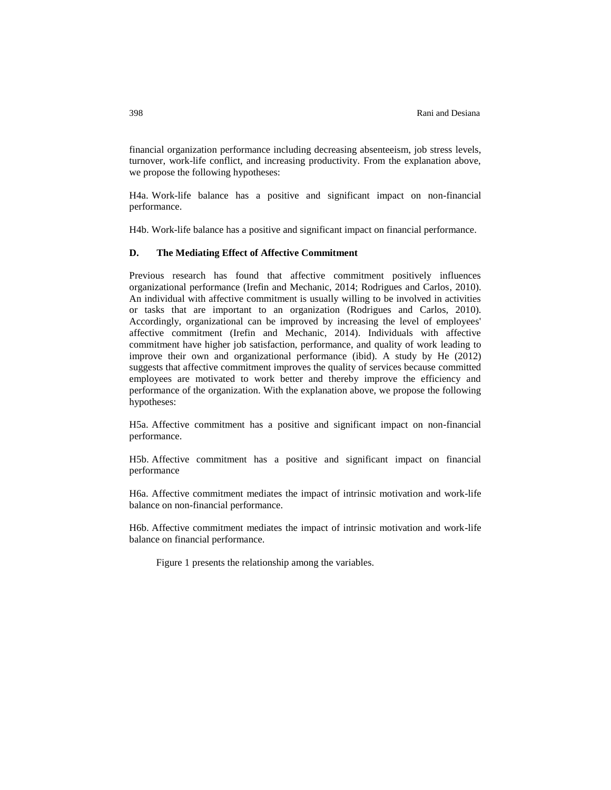financial organization performance including decreasing absenteeism, job stress levels, turnover, work-life conflict, and increasing productivity. From the explanation above, we propose the following hypotheses:

H4a. Work-life balance has a positive and significant impact on non-financial performance.

H4b. Work-life balance has a positive and significant impact on financial performance.

## **D. The Mediating Effect of Affective Commitment**

Previous research has found that affective commitment positively influences organizational performance (Irefin and Mechanic, 2014; Rodrigues and Carlos, 2010). An individual with affective commitment is usually willing to be involved in activities or tasks that are important to an organization (Rodrigues and Carlos, 2010). Accordingly, organizational can be improved by increasing the level of employees' affective commitment (Irefin and Mechanic, 2014). Individuals with affective commitment have higher job satisfaction, performance, and quality of work leading to improve their own and organizational performance (ibid). A study by He (2012) suggests that affective commitment improves the quality of services because committed employees are motivated to work better and thereby improve the efficiency and performance of the organization. With the explanation above, we propose the following hypotheses:

H5a. Affective commitment has a positive and significant impact on non-financial performance.

H5b. Affective commitment has a positive and significant impact on financial performance

H6a. Affective commitment mediates the impact of intrinsic motivation and work-life balance on non-financial performance.

H6b. Affective commitment mediates the impact of intrinsic motivation and work-life balance on financial performance.

Figure 1 presents the relationship among the variables.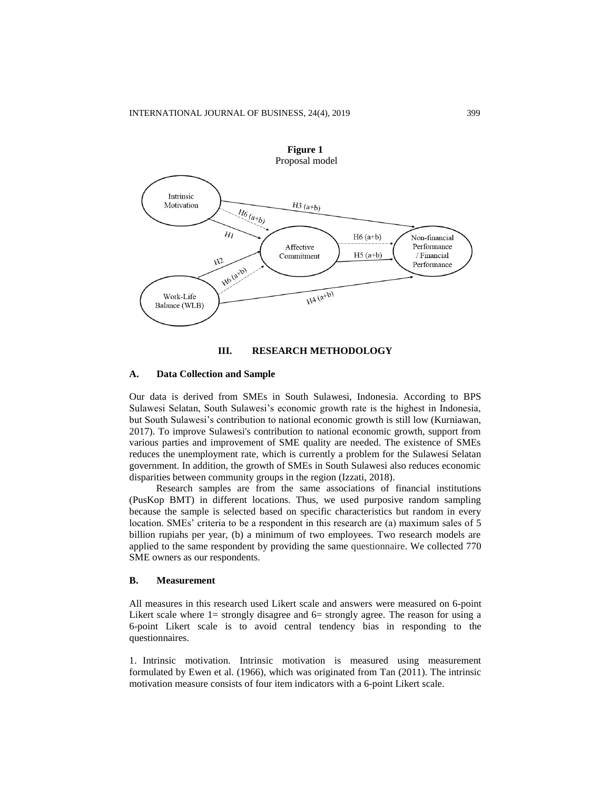

## **III. RESEARCH METHODOLOGY**

## **A. Data Collection and Sample**

Our data is derived from SMEs in South Sulawesi, Indonesia. According to BPS Sulawesi Selatan, South Sulawesi's economic growth rate is the highest in Indonesia, but South Sulawesi's contribution to national economic growth is still low (Kurniawan, 2017). To improve Sulawesi's contribution to national economic growth, support from various parties and improvement of SME quality are needed. The existence of SMEs reduces the unemployment rate, which is currently a problem for the Sulawesi Selatan government. In addition, the growth of SMEs in South Sulawesi also reduces economic disparities between community groups in the region (Izzati, 2018).

Research samples are from the same associations of financial institutions (PusKop BMT) in different locations. Thus, we used purposive random sampling because the sample is selected based on specific characteristics but random in every location. SMEs' criteria to be a respondent in this research are (a) maximum sales of 5 billion rupiahs per year, (b) a minimum of two employees. Two research models are applied to the same respondent by providing the same questionnaire. We collected 770 SME owners as our respondents.

# **B. Measurement**

All measures in this research used Likert scale and answers were measured on 6-point Likert scale where  $1=$  strongly disagree and  $6=$  strongly agree. The reason for using a 6-point Likert scale is to avoid central tendency bias in responding to the questionnaires.

1. Intrinsic motivation. Intrinsic motivation is measured using measurement formulated by Ewen et al. (1966), which was originated from Tan (2011). The intrinsic motivation measure consists of four item indicators with a 6-point Likert scale.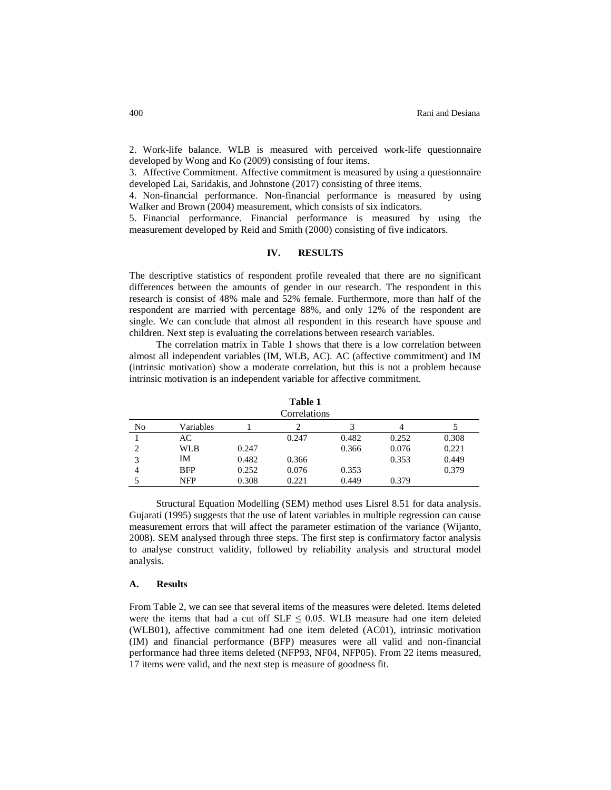2. Work-life balance. WLB is measured with perceived work-life questionnaire developed by Wong and Ko (2009) consisting of four items.

3. Affective Commitment. Affective commitment is measured by using a questionnaire developed Lai, Saridakis, and Johnstone (2017) consisting of three items.

4. Non-financial performance. Non-financial performance is measured by using Walker and Brown (2004) measurement, which consists of six indicators.

5. Financial performance. Financial performance is measured by using the measurement developed by Reid and Smith (2000) consisting of five indicators.

## **IV. RESULTS**

The descriptive statistics of respondent profile revealed that there are no significant differences between the amounts of gender in our research. The respondent in this research is consist of 48% male and 52% female. Furthermore, more than half of the respondent are married with percentage 88%, and only 12% of the respondent are single. We can conclude that almost all respondent in this research have spouse and children. Next step is evaluating the correlations between research variables.

The correlation matrix in Table 1 shows that there is a low correlation between almost all independent variables (IM, WLB, AC). AC (affective commitment) and IM (intrinsic motivation) show a moderate correlation, but this is not a problem because intrinsic motivation is an independent variable for affective commitment.

| .<br>Correlations |            |       |       |       |       |       |  |
|-------------------|------------|-------|-------|-------|-------|-------|--|
| No                | Variables  |       |       |       | 4     |       |  |
|                   | AC.        |       | 0.247 | 0.482 | 0.252 | 0.308 |  |
| 2                 | WLB        | 0.247 |       | 0.366 | 0.076 | 0.221 |  |
| 3                 | IΜ         | 0.482 | 0.366 |       | 0.353 | 0.449 |  |
| 4                 | <b>BFP</b> | 0.252 | 0.076 | 0.353 |       | 0.379 |  |
|                   | <b>NFP</b> | 0.308 | 0.221 | 0.449 | 0.379 |       |  |

**Table 1**

Structural Equation Modelling (SEM) method uses Lisrel 8.51 for data analysis. Gujarati (1995) suggests that the use of latent variables in multiple regression can cause measurement errors that will affect the parameter estimation of the variance (Wijanto, 2008). SEM analysed through three steps. The first step is confirmatory factor analysis to analyse construct validity, followed by reliability analysis and structural model analysis.

#### **A. Results**

From Table 2, we can see that several items of the measures were deleted. Items deleted were the items that had a cut off  $SLF \leq 0.05$ . WLB measure had one item deleted (WLB01), affective commitment had one item deleted (AC01), intrinsic motivation (IM) and financial performance (BFP) measures were all valid and non-financial performance had three items deleted (NFP93, NF04, NFP05). From 22 items measured, 17 items were valid, and the next step is measure of goodness fit.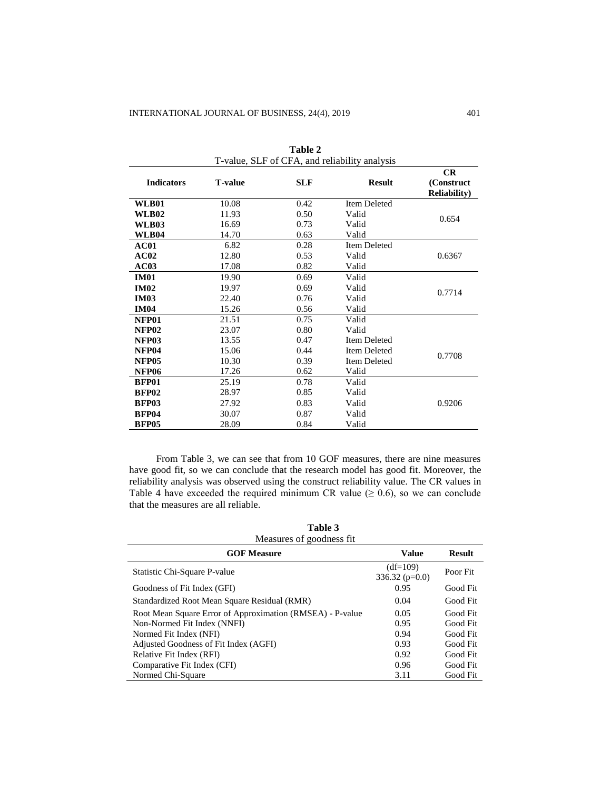| T-value, SLF of CFA, and reliability analysis |                |            |                     |                                          |  |  |
|-----------------------------------------------|----------------|------------|---------------------|------------------------------------------|--|--|
| <b>Indicators</b>                             | <b>T-value</b> | <b>SLF</b> | <b>Result</b>       | CR<br>(Construct<br><b>Reliability</b> ) |  |  |
| <b>WLB01</b>                                  | 10.08          | 0.42       | <b>Item Deleted</b> |                                          |  |  |
| <b>WLB02</b>                                  | 11.93          | 0.50       | Valid               | 0.654                                    |  |  |
| <b>WLB03</b>                                  | 16.69          | 0.73       | Valid               |                                          |  |  |
| <b>WLB04</b>                                  | 14.70          | 0.63       | Valid               |                                          |  |  |
| AC01                                          | 6.82           | 0.28       | <b>Item Deleted</b> |                                          |  |  |
| AC02                                          | 12.80          | 0.53       | Valid               | 0.6367                                   |  |  |
| AC03                                          | 17.08          | 0.82       | Valid               |                                          |  |  |
| <b>IM01</b>                                   | 19.90          | 0.69       | Valid               |                                          |  |  |
| <b>IM02</b>                                   | 19.97          | 0.69       | Valid               | 0.7714                                   |  |  |
| <b>IM03</b>                                   | 22.40          | 0.76       | Valid               |                                          |  |  |
| <b>IM04</b>                                   | 15.26          | 0.56       | Valid               |                                          |  |  |
| <b>NFP01</b>                                  | 21.51          | 0.75       | Valid               |                                          |  |  |
| <b>NFP02</b>                                  | 23.07          | 0.80       | Valid               |                                          |  |  |
| <b>NFP03</b>                                  | 13.55          | 0.47       | <b>Item Deleted</b> |                                          |  |  |
| NFP04                                         | 15.06          | 0.44       | Item Deleted        | 0.7708                                   |  |  |
| <b>NFP05</b>                                  | 10.30          | 0.39       | <b>Item Deleted</b> |                                          |  |  |
| <b>NFP06</b>                                  | 17.26          | 0.62       | Valid               |                                          |  |  |
| <b>BFP01</b>                                  | 25.19          | 0.78       | Valid               |                                          |  |  |
| <b>BFP02</b>                                  | 28.97          | 0.85       | Valid               |                                          |  |  |
| <b>BFP03</b>                                  | 27.92          | 0.83       | Valid               | 0.9206                                   |  |  |
| <b>BFP04</b>                                  | 30.07          | 0.87       | Valid               |                                          |  |  |
| <b>BFP05</b>                                  | 28.09          | 0.84       | Valid               |                                          |  |  |

**Table 2**

From Table 3, we can see that from 10 GOF measures, there are nine measures have good fit, so we can conclude that the research model has good fit. Moreover, the reliability analysis was observed using the construct reliability value. The CR values in Table 4 have exceeded the required minimum CR value ( $\geq 0.6$ ), so we can conclude that the measures are all reliable.

| Measures of goodness fit.                                                                |                                  |                      |  |  |  |  |
|------------------------------------------------------------------------------------------|----------------------------------|----------------------|--|--|--|--|
| <b>GOF Measure</b>                                                                       | <b>Value</b>                     | <b>Result</b>        |  |  |  |  |
| Statistic Chi-Square P-value                                                             | $(df=109)$<br>336.32 ( $p=0.0$ ) | Poor Fit             |  |  |  |  |
| Goodness of Fit Index (GFI)                                                              | 0.95                             | Good Fit             |  |  |  |  |
| Standardized Root Mean Square Residual (RMR)                                             | 0.04                             | Good Fit             |  |  |  |  |
| Root Mean Square Error of Approximation (RMSEA) - P-value<br>Non-Normed Fit Index (NNFI) | 0.05<br>0.95                     | Good Fit<br>Good Fit |  |  |  |  |
| Normed Fit Index (NFI)                                                                   | 0.94                             | Good Fit             |  |  |  |  |
| Adjusted Goodness of Fit Index (AGFI)                                                    | 0.93                             | Good Fit             |  |  |  |  |
| Relative Fit Index (RFI)                                                                 | 0.92                             | Good Fit             |  |  |  |  |
| Comparative Fit Index (CFI)                                                              | 0.96                             | Good Fit             |  |  |  |  |
| Normed Chi-Square                                                                        | 3.11                             | Good Fit             |  |  |  |  |

**Table 3**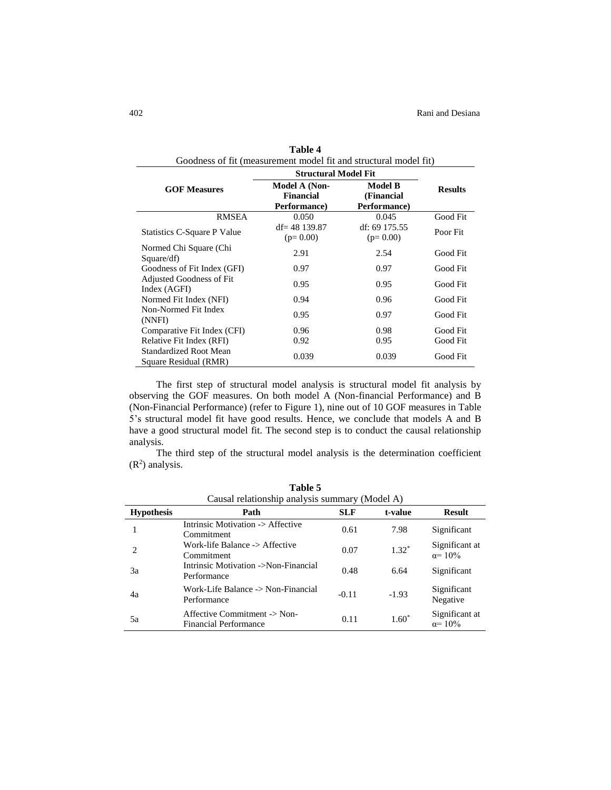| Goodness of fit (measurement model fit and structural model fit) |                                                   |                                              |                |  |  |  |  |
|------------------------------------------------------------------|---------------------------------------------------|----------------------------------------------|----------------|--|--|--|--|
|                                                                  | <b>Structural Model Fit</b>                       |                                              |                |  |  |  |  |
| <b>GOF Measures</b>                                              | Model A (Non-<br><b>Financial</b><br>Performance) | <b>Model B</b><br>(Financial<br>Performance) | <b>Results</b> |  |  |  |  |
| <b>RMSEA</b>                                                     | 0.050                                             | 0.045                                        | Good Fit       |  |  |  |  |
| Statistics C-Square P Value                                      | $df = 48$ 139.87<br>$(p=0.00)$                    | df: 69 175.55<br>$(p=0.00)$                  | Poor Fit       |  |  |  |  |
| Normed Chi Square (Chi<br>Square/df)                             | 2.91                                              | 2.54                                         | Good Fit       |  |  |  |  |
| Goodness of Fit Index (GFI)                                      | 0.97                                              | 0.97                                         | Good Fit       |  |  |  |  |
| Adjusted Goodness of Fit<br>Index (AGFI)                         | 0.95                                              | 0.95                                         | Good Fit       |  |  |  |  |
| Normed Fit Index (NFI)                                           | 0.94                                              | 0.96                                         | Good Fit       |  |  |  |  |
| Non-Normed Fit Index<br>(NNFI)                                   | 0.95                                              | 0.97                                         | Good Fit       |  |  |  |  |
| Comparative Fit Index (CFI)                                      | 0.96                                              | 0.98                                         | Good Fit       |  |  |  |  |
| Relative Fit Index (RFI)                                         | 0.92                                              | 0.95                                         | Good Fit       |  |  |  |  |
| <b>Standardized Root Mean</b><br>Square Residual (RMR)           | 0.039                                             | 0.039                                        | Good Fit       |  |  |  |  |

| Table 4                                                          |
|------------------------------------------------------------------|
| Goodness of fit (measurement model fit and structural model fit) |
|                                                                  |

The first step of structural model analysis is structural model fit analysis by observing the GOF measures. On both model A (Non-financial Performance) and B (Non-Financial Performance) (refer to Figure 1), nine out of 10 GOF measures in Table 5's structural model fit have good results. Hence, we conclude that models A and B have a good structural model fit. The second step is to conduct the causal relationship analysis.

The third step of the structural model analysis is the determination coefficient  $(R<sup>2</sup>)$  analysis.

| Causal relationship analysis summary (Model A) |                                                              |            |         |                                   |  |  |
|------------------------------------------------|--------------------------------------------------------------|------------|---------|-----------------------------------|--|--|
| <b>Hypothesis</b>                              | Path                                                         | <b>SLF</b> | t-value | <b>Result</b>                     |  |  |
|                                                | Intrinsic Motivation -> Affective<br>Commitment              | 0.61       | 7.98    | Significant                       |  |  |
| $\mathcal{D}_{\mathcal{L}}$                    | Work-life Balance -> Affective<br>Commitment                 | 0.07       | $1.32*$ | Significant at<br>$\alpha = 10\%$ |  |  |
| 3a                                             | Intrinsic Motivation ->Non-Financial<br>Performance          | 0.48       | 6.64    | Significant                       |  |  |
| 4a                                             | Work-Life Balance -> Non-Financial<br>Performance            | $-0.11$    | $-1.93$ | Significant<br>Negative           |  |  |
| 5a                                             | Affective Commitment -> Non-<br><b>Financial Performance</b> | 0.11       | $1.60*$ | Significant at<br>$\alpha = 10\%$ |  |  |

**Table 5**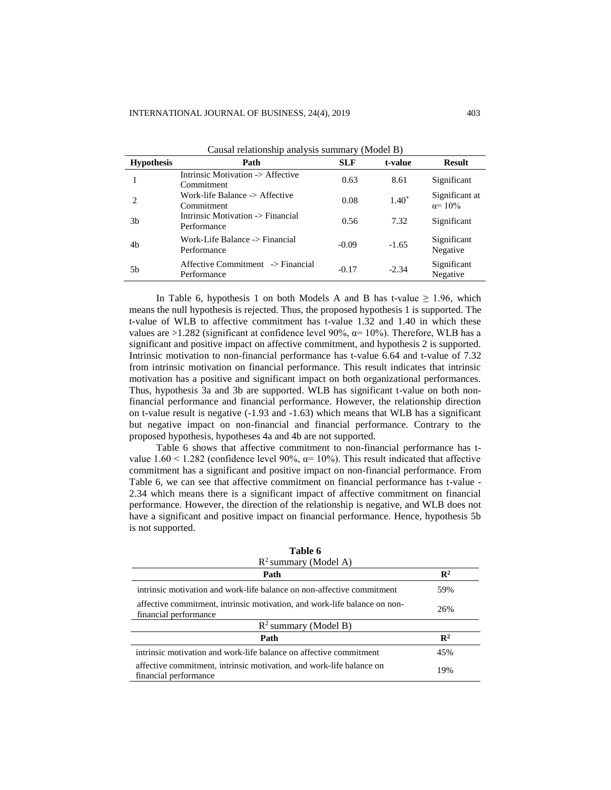| Causal relationship analysis summary (Model B) |                                                  |            |          |                                   |  |  |
|------------------------------------------------|--------------------------------------------------|------------|----------|-----------------------------------|--|--|
| <b>Hypothesis</b>                              | Path                                             | <b>SLF</b> | t-value  | <b>Result</b>                     |  |  |
|                                                | Intrinsic Motivation -> Affective<br>Commitment  | 0.63       | 8.61     | Significant                       |  |  |
| $\mathcal{D}_{\mathcal{L}}$                    | Work-life Balance -> Affective<br>Commitment     | 0.08       | $1.40^*$ | Significant at<br>$\alpha = 10\%$ |  |  |
| 3 <sub>b</sub>                                 | Intrinsic Motivation -> Financial<br>Performance | 0.56       | 7.32     | Significant                       |  |  |
| 4 <sub>b</sub>                                 | Work-Life Balance -> Financial<br>Performance    | $-0.09$    | $-1.65$  | Significant<br>Negative           |  |  |
| 5b                                             | Affective Commitment -> Financial<br>Performance | $-0.17$    | $-2.34$  | Significant<br>Negative           |  |  |
|                                                |                                                  |            |          |                                   |  |  |

In Table 6, hypothesis 1 on both Models A and B has t-value  $\geq 1.96$ , which means the null hypothesis is rejected. Thus, the proposed hypothesis 1 is supported. The t-value of WLB to affective commitment has t-value 1.32 and 1.40 in which these values are  $>1.282$  (significant at confidence level 90%,  $\alpha$ = 10%). Therefore, WLB has a significant and positive impact on affective commitment, and hypothesis 2 is supported. Intrinsic motivation to non-financial performance has t-value 6.64 and t-value of 7.32 from intrinsic motivation on financial performance. This result indicates that intrinsic motivation has a positive and significant impact on both organizational performances. Thus, hypothesis 3a and 3b are supported. WLB has significant t-value on both nonfinancial performance and financial performance. However, the relationship direction on t-value result is negative (-1.93 and -1.63) which means that WLB has a significant but negative impact on non-financial and financial performance. Contrary to the proposed hypothesis, hypotheses 4a and 4b are not supported.

Table 6 shows that affective commitment to non-financial performance has tvalue 1.60 < 1.282 (confidence level 90%,  $\alpha$ = 10%). This result indicated that affective commitment has a significant and positive impact on non-financial performance. From Table 6, we can see that affective commitment on financial performance has t-value - 2.34 which means there is a significant impact of affective commitment on financial performance. However, the direction of the relationship is negative, and WLB does not have a significant and positive impact on financial performance. Hence, hypothesis 5b is not supported.

| Table 6                                                                                            |                |
|----------------------------------------------------------------------------------------------------|----------------|
| $R^2$ summary (Model A)                                                                            |                |
| Path                                                                                               | $\mathbb{R}^2$ |
| intrinsic motivation and work-life balance on non-affective commitment                             | 59%            |
| affective commitment, intrinsic motivation, and work-life balance on non-<br>financial performance | 26%            |
| $R^2$ summary (Model B)                                                                            |                |
| Path                                                                                               | $\mathbb{R}^2$ |
| intrinsic motivation and work-life balance on affective commitment                                 | 45%            |
| affective commitment, intrinsic motivation, and work-life balance on<br>financial performance      | 19%            |

**Table 6**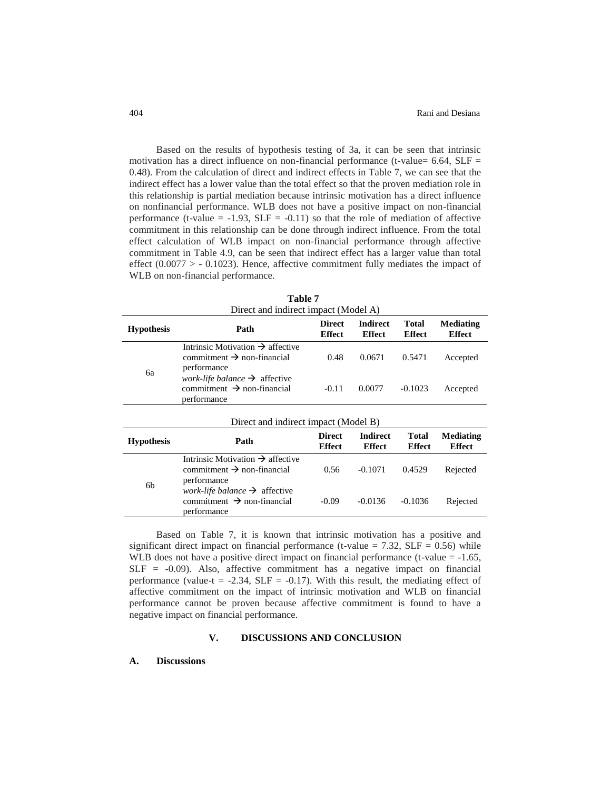Based on the results of hypothesis testing of 3a, it can be seen that intrinsic motivation has a direct influence on non-financial performance (t-value=  $6.64$ , SLF = 0.48). From the calculation of direct and indirect effects in Table 7, we can see that the indirect effect has a lower value than the total effect so that the proven mediation role in this relationship is partial mediation because intrinsic motivation has a direct influence on nonfinancial performance. WLB does not have a positive impact on non-financial performance (t-value  $= -1.93$ , SLF  $= -0.11$ ) so that the role of mediation of affective commitment in this relationship can be done through indirect influence. From the total effect calculation of WLB impact on non-financial performance through affective commitment in Table 4.9, can be seen that indirect effect has a larger value than total effect  $(0.0077 > -0.1023)$ . Hence, affective commitment fully mediates the impact of WLB on non-financial performance.

| <b>Hypothesis</b> | Path                                                                                                      | <b>Direct</b><br><b>Effect</b> | <b>Indirect</b><br><b>Effect</b> | Total<br><b>Effect</b> | <b>Mediating</b><br><b>Effect</b> |
|-------------------|-----------------------------------------------------------------------------------------------------------|--------------------------------|----------------------------------|------------------------|-----------------------------------|
|                   | Intrinsic Motivation $\rightarrow$ affective<br>commitment $\rightarrow$ non-financial<br>performance     | 0.48                           | 0.0671                           | 0.5471                 | Accepted                          |
| 6a                | <i>work-life balance</i> $\rightarrow$ affective<br>commitment $\rightarrow$ non-financial<br>performance | $-0.11$                        | 0.0077                           | $-0.1023$              | Accepted                          |

**Table 7**

| <b>Hypothesis</b> | Direct and munect impact (ividuel D)<br><b>Direct</b><br>Path                                             |               | <b>Indirect</b> | <b>Total</b>  |               |  |
|-------------------|-----------------------------------------------------------------------------------------------------------|---------------|-----------------|---------------|---------------|--|
|                   |                                                                                                           | <b>Effect</b> | <b>Effect</b>   | <b>Effect</b> | <b>Effect</b> |  |
| 6b                | Intrinsic Motivation $\rightarrow$ affective<br>commitment $\rightarrow$ non-financial<br>performance     | 0.56          | $-0.1071$       | 0.4529        | Rejected      |  |
|                   | <i>work-life balance</i> $\rightarrow$ affective<br>commitment $\rightarrow$ non-financial<br>performance | $-0.09$       | $-0.0136$       | $-0.1036$     | Rejected      |  |

Based on Table 7, it is known that intrinsic motivation has a positive and significant direct impact on financial performance (t-value  $= 7.32$ , SLF  $= 0.56$ ) while WLB does not have a positive direct impact on financial performance (t-value  $= -1.65$ ,  $SLF = -0.09$ ). Also, affective commitment has a negative impact on financial performance (value-t =  $-2.34$ , SLF =  $-0.17$ ). With this result, the mediating effect of affective commitment on the impact of intrinsic motivation and WLB on financial performance cannot be proven because affective commitment is found to have a negative impact on financial performance.

## **V. DISCUSSIONS AND CONCLUSION**

#### **A. Discussions**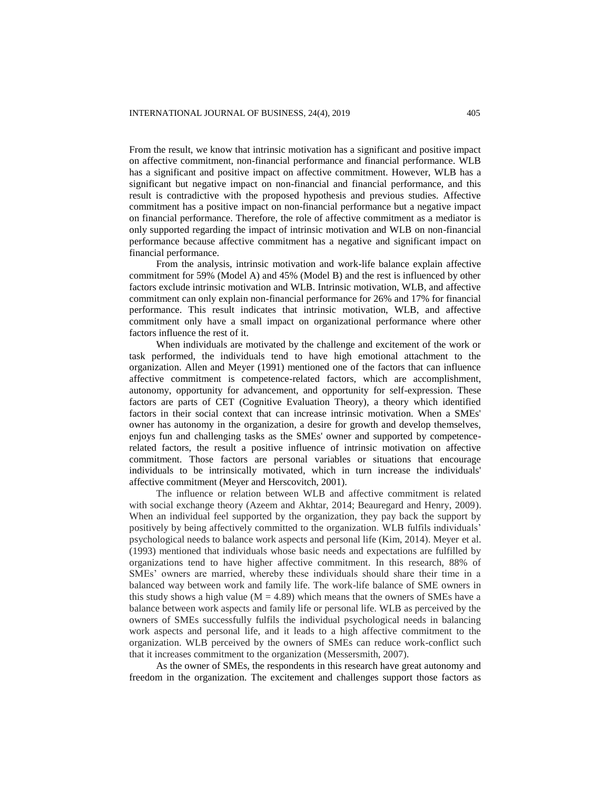From the result, we know that intrinsic motivation has a significant and positive impact on affective commitment, non-financial performance and financial performance. WLB has a significant and positive impact on affective commitment. However, WLB has a significant but negative impact on non-financial and financial performance, and this result is contradictive with the proposed hypothesis and previous studies. Affective commitment has a positive impact on non-financial performance but a negative impact on financial performance. Therefore, the role of affective commitment as a mediator is only supported regarding the impact of intrinsic motivation and WLB on non-financial performance because affective commitment has a negative and significant impact on financial performance.

From the analysis, intrinsic motivation and work-life balance explain affective commitment for 59% (Model A) and 45% (Model B) and the rest is influenced by other factors exclude intrinsic motivation and WLB. Intrinsic motivation, WLB, and affective commitment can only explain non-financial performance for 26% and 17% for financial performance. This result indicates that intrinsic motivation, WLB, and affective commitment only have a small impact on organizational performance where other factors influence the rest of it.

When individuals are motivated by the challenge and excitement of the work or task performed, the individuals tend to have high emotional attachment to the organization. Allen and Meyer (1991) mentioned one of the factors that can influence affective commitment is competence-related factors, which are accomplishment, autonomy, opportunity for advancement, and opportunity for self-expression. These factors are parts of CET (Cognitive Evaluation Theory), a theory which identified factors in their social context that can increase intrinsic motivation. When a SMEs' owner has autonomy in the organization, a desire for growth and develop themselves, enjoys fun and challenging tasks as the SMEs' owner and supported by competencerelated factors, the result a positive influence of intrinsic motivation on affective commitment. Those factors are personal variables or situations that encourage individuals to be intrinsically motivated, which in turn increase the individuals' affective commitment (Meyer and Herscovitch, 2001).

The influence or relation between WLB and affective commitment is related with social exchange theory (Azeem and Akhtar, 2014; Beauregard and Henry, 2009). When an individual feel supported by the organization, they pay back the support by positively by being affectively committed to the organization. WLB fulfils individuals' psychological needs to balance work aspects and personal life (Kim, 2014). Meyer et al. (1993) mentioned that individuals whose basic needs and expectations are fulfilled by organizations tend to have higher affective commitment. In this research, 88% of SMEs' owners are married, whereby these individuals should share their time in a balanced way between work and family life. The work-life balance of SME owners in this study shows a high value ( $M = 4.89$ ) which means that the owners of SMEs have a balance between work aspects and family life or personal life. WLB as perceived by the owners of SMEs successfully fulfils the individual psychological needs in balancing work aspects and personal life, and it leads to a high affective commitment to the organization. WLB perceived by the owners of SMEs can reduce work-conflict such that it increases commitment to the organization (Messersmith, 2007).

As the owner of SMEs, the respondents in this research have great autonomy and freedom in the organization. The excitement and challenges support those factors as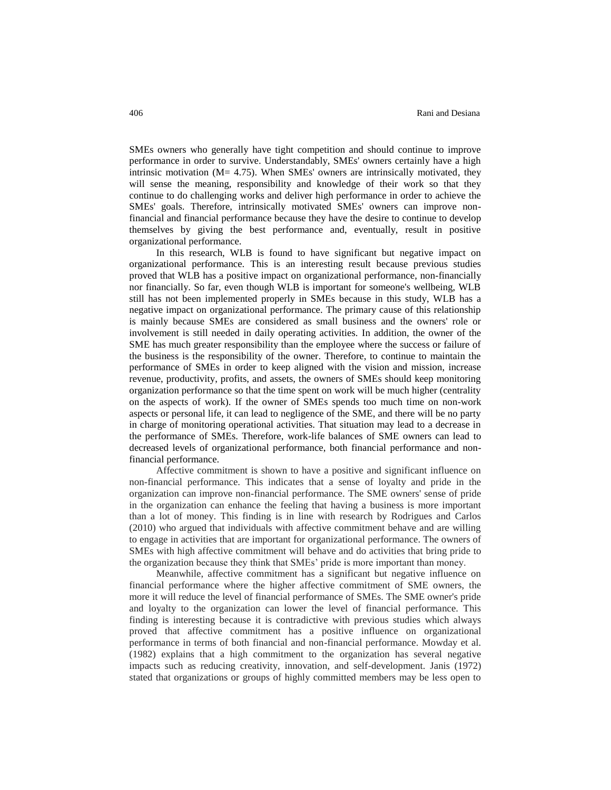SMEs owners who generally have tight competition and should continue to improve performance in order to survive. Understandably, SMEs' owners certainly have a high intrinsic motivation  $(M= 4.75)$ . When SMEs' owners are intrinsically motivated, they will sense the meaning, responsibility and knowledge of their work so that they continue to do challenging works and deliver high performance in order to achieve the SMEs' goals. Therefore, intrinsically motivated SMEs' owners can improve nonfinancial and financial performance because they have the desire to continue to develop themselves by giving the best performance and, eventually, result in positive organizational performance.

In this research, WLB is found to have significant but negative impact on organizational performance. This is an interesting result because previous studies proved that WLB has a positive impact on organizational performance, non-financially nor financially. So far, even though WLB is important for someone's wellbeing, WLB still has not been implemented properly in SMEs because in this study, WLB has a negative impact on organizational performance. The primary cause of this relationship is mainly because SMEs are considered as small business and the owners' role or involvement is still needed in daily operating activities. In addition, the owner of the SME has much greater responsibility than the employee where the success or failure of the business is the responsibility of the owner. Therefore, to continue to maintain the performance of SMEs in order to keep aligned with the vision and mission, increase revenue, productivity, profits, and assets, the owners of SMEs should keep monitoring organization performance so that the time spent on work will be much higher (centrality on the aspects of work). If the owner of SMEs spends too much time on non-work aspects or personal life, it can lead to negligence of the SME, and there will be no party in charge of monitoring operational activities. That situation may lead to a decrease in the performance of SMEs. Therefore, work-life balances of SME owners can lead to decreased levels of organizational performance, both financial performance and nonfinancial performance.

Affective commitment is shown to have a positive and significant influence on non-financial performance. This indicates that a sense of loyalty and pride in the organization can improve non-financial performance. The SME owners' sense of pride in the organization can enhance the feeling that having a business is more important than a lot of money. This finding is in line with research by Rodrigues and Carlos (2010) who argued that individuals with affective commitment behave and are willing to engage in activities that are important for organizational performance. The owners of SMEs with high affective commitment will behave and do activities that bring pride to the organization because they think that SMEs' pride is more important than money.

Meanwhile, affective commitment has a significant but negative influence on financial performance where the higher affective commitment of SME owners, the more it will reduce the level of financial performance of SMEs. The SME owner's pride and loyalty to the organization can lower the level of financial performance. This finding is interesting because it is contradictive with previous studies which always proved that affective commitment has a positive influence on organizational performance in terms of both financial and non-financial performance. Mowday et al. (1982) explains that a high commitment to the organization has several negative impacts such as reducing creativity, innovation, and self-development. Janis (1972) stated that organizations or groups of highly committed members may be less open to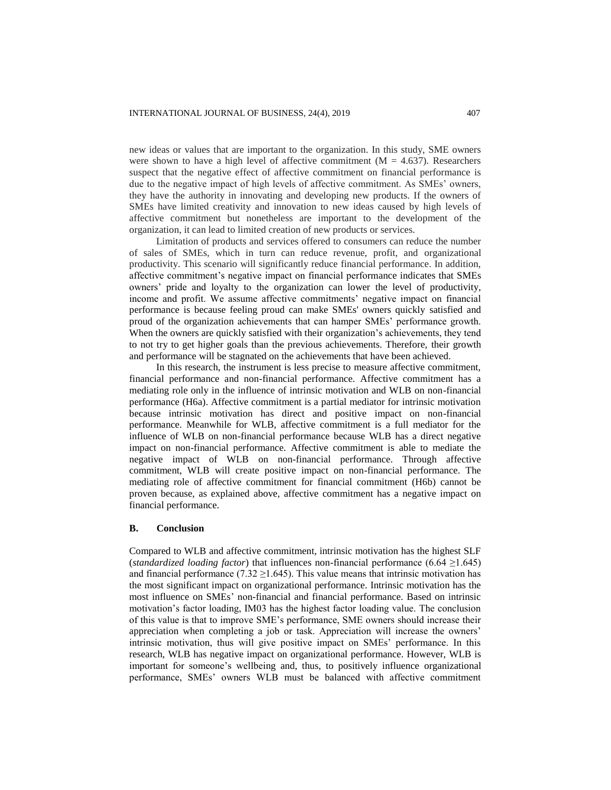new ideas or values that are important to the organization. In this study, SME owners were shown to have a high level of affective commitment ( $M = 4.637$ ). Researchers suspect that the negative effect of affective commitment on financial performance is due to the negative impact of high levels of affective commitment. As SMEs' owners, they have the authority in innovating and developing new products. If the owners of SMEs have limited creativity and innovation to new ideas caused by high levels of affective commitment but nonetheless are important to the development of the organization, it can lead to limited creation of new products or services.

Limitation of products and services offered to consumers can reduce the number of sales of SMEs, which in turn can reduce revenue, profit, and organizational productivity. This scenario will significantly reduce financial performance. In addition, affective commitment's negative impact on financial performance indicates that SMEs owners' pride and loyalty to the organization can lower the level of productivity, income and profit. We assume affective commitments' negative impact on financial performance is because feeling proud can make SMEs' owners quickly satisfied and proud of the organization achievements that can hamper SMEs' performance growth. When the owners are quickly satisfied with their organization's achievements, they tend to not try to get higher goals than the previous achievements. Therefore, their growth and performance will be stagnated on the achievements that have been achieved.

In this research, the instrument is less precise to measure affective commitment, financial performance and non-financial performance. Affective commitment has a mediating role only in the influence of intrinsic motivation and WLB on non-financial performance (H6a). Affective commitment is a partial mediator for intrinsic motivation because intrinsic motivation has direct and positive impact on non-financial performance. Meanwhile for WLB, affective commitment is a full mediator for the influence of WLB on non-financial performance because WLB has a direct negative impact on non-financial performance. Affective commitment is able to mediate the negative impact of WLB on non-financial performance. Through affective commitment, WLB will create positive impact on non-financial performance. The mediating role of affective commitment for financial commitment (H6b) cannot be proven because, as explained above, affective commitment has a negative impact on financial performance.

## **B. Conclusion**

Compared to WLB and affective commitment, intrinsic motivation has the highest SLF (*standardized loading factor*) that influences non-financial performance (6.64 ≥1.645) and financial performance (7.32  $\geq$ 1.645). This value means that intrinsic motivation has the most significant impact on organizational performance. Intrinsic motivation has the most influence on SMEs' non-financial and financial performance. Based on intrinsic motivation's factor loading, IM03 has the highest factor loading value. The conclusion of this value is that to improve SME's performance, SME owners should increase their appreciation when completing a job or task. Appreciation will increase the owners' intrinsic motivation, thus will give positive impact on SMEs' performance. In this research, WLB has negative impact on organizational performance. However, WLB is important for someone's wellbeing and, thus, to positively influence organizational performance, SMEs' owners WLB must be balanced with affective commitment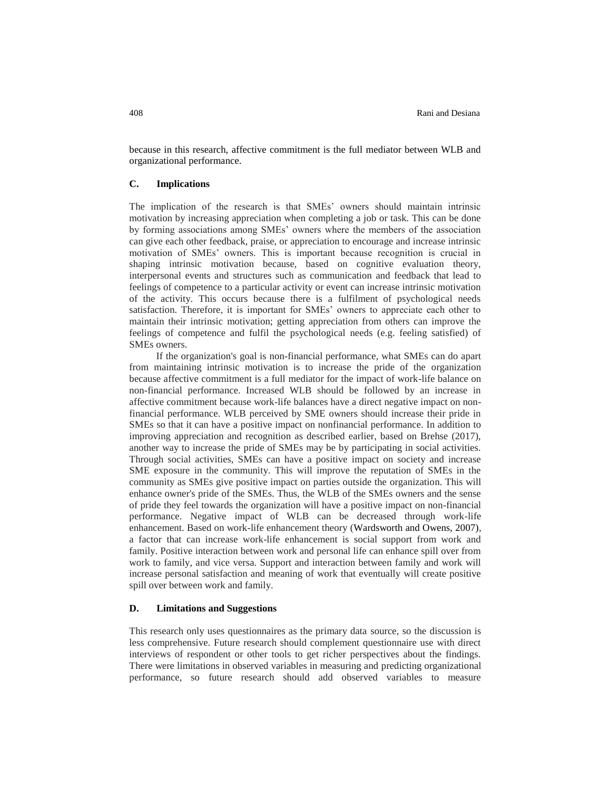because in this research, affective commitment is the full mediator between WLB and organizational performance.

## **C. Implications**

The implication of the research is that SMEs' owners should maintain intrinsic motivation by increasing appreciation when completing a job or task. This can be done by forming associations among SMEs' owners where the members of the association can give each other feedback, praise, or appreciation to encourage and increase intrinsic motivation of SMEs' owners. This is important because recognition is crucial in shaping intrinsic motivation because, based on cognitive evaluation theory, interpersonal events and structures such as communication and feedback that lead to feelings of competence to a particular activity or event can increase intrinsic motivation of the activity. This occurs because there is a fulfilment of psychological needs satisfaction. Therefore, it is important for SMEs' owners to appreciate each other to maintain their intrinsic motivation; getting appreciation from others can improve the feelings of competence and fulfil the psychological needs (e.g. feeling satisfied) of SMEs owners.

If the organization's goal is non-financial performance, what SMEs can do apart from maintaining intrinsic motivation is to increase the pride of the organization because affective commitment is a full mediator for the impact of work-life balance on non-financial performance. Increased WLB should be followed by an increase in affective commitment because work-life balances have a direct negative impact on nonfinancial performance. WLB perceived by SME owners should increase their pride in SMEs so that it can have a positive impact on nonfinancial performance. In addition to improving appreciation and recognition as described earlier, based on Brehse (2017), another way to increase the pride of SMEs may be by participating in social activities. Through social activities, SMEs can have a positive impact on society and increase SME exposure in the community. This will improve the reputation of SMEs in the community as SMEs give positive impact on parties outside the organization. This will enhance owner's pride of the SMEs. Thus, the WLB of the SMEs owners and the sense of pride they feel towards the organization will have a positive impact on non-financial performance. Negative impact of WLB can be decreased through work-life enhancement. Based on work-life enhancement theory (Wardsworth and Owens, 2007), a factor that can increase work-life enhancement is social support from work and family. Positive interaction between work and personal life can enhance spill over from work to family, and vice versa. Support and interaction between family and work will increase personal satisfaction and meaning of work that eventually will create positive spill over between work and family.

## **D. Limitations and Suggestions**

This research only uses questionnaires as the primary data source, so the discussion is less comprehensive. Future research should complement questionnaire use with direct interviews of respondent or other tools to get richer perspectives about the findings. There were limitations in observed variables in measuring and predicting organizational performance, so future research should add observed variables to measure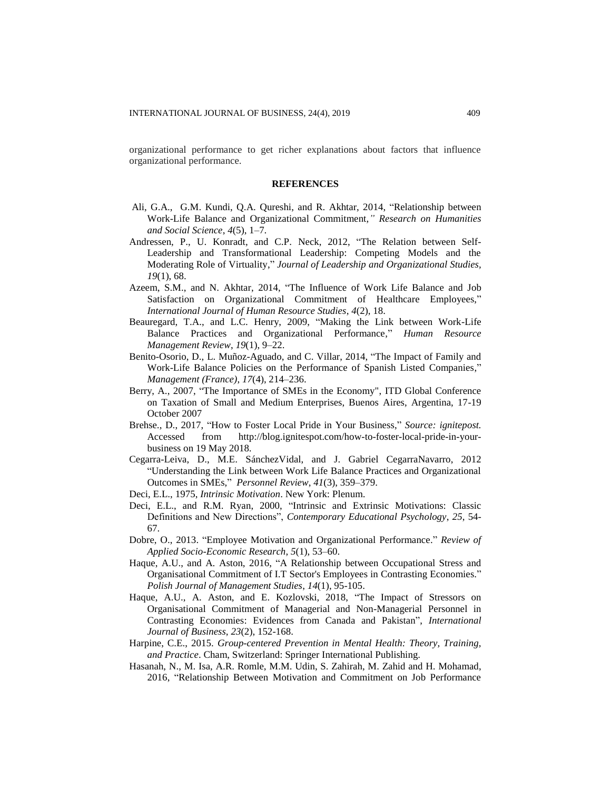organizational performance to get richer explanations about factors that influence organizational performance.

#### **REFERENCES**

- Ali, G.A., G.M. Kundi, Q.A. Qureshi, and R. Akhtar, 2014, "Relationship between Work-Life Balance and Organizational Commitment*," Research on Humanities and Social Science*, *4*(5), 1–7.
- Andressen, P., U. Konradt, and C.P. Neck, 2012, "The Relation between Self-Leadership and Transformational Leadership: Competing Models and the Moderating Role of Virtuality," *Journal of Leadership and Organizational Studies, 19*(1), 68.
- Azeem, S.M., and N. Akhtar, 2014, "The Influence of Work Life Balance and Job Satisfaction on Organizational Commitment of Healthcare Employees," *International Journal of Human Resource Studies*, *4*(2), 18.
- Beauregard, T.A., and L.C. Henry, 2009, "Making the Link between Work-Life Balance Practices and Organizational Performance," *Human Resource Management Review*, *19*(1), 9–22.
- Benito-Osorio, D., L. Muñoz-Aguado, and C. Villar, 2014, "The Impact of Family and Work-Life Balance Policies on the Performance of Spanish Listed Companies," *Management (France)*, *17*(4), 214–236.
- Berry, A., 2007, "The Importance of SMEs in the Economy", ITD Global Conference on Taxation of Small and Medium Enterprises, Buenos Aires, Argentina, 17-19 October 2007
- Brehse., D., 2017, "How to Foster Local Pride in Your Business," *Source: ignitepost.*  Accessed from http://blog.ignitespot.com/how-to-foster-local-pride-in-yourbusiness on 19 May 2018*.*
- Cegarra-Leiva, D., M.E. SánchezVidal, and J. Gabriel CegarraNavarro, 2012 "Understanding the Link between Work Life Balance Practices and Organizational Outcomes in SMEs," *Personnel Review*, *41*(3), 359–379.
- Deci, E.L., 1975, *Intrinsic Motivation*. New York: Plenum.
- Deci, E.L., and R.M. Ryan, 2000, "Intrinsic and Extrinsic Motivations: Classic Definitions and New Directions", *Contemporary Educational Psychology*, *25*, 54- 67.
- Dobre, O., 2013. "Employee Motivation and Organizational Performance." *Review of Applied Socio-Economic Research*, *5*(1), 53–60.
- Haque, A.U., and A. Aston, 2016, "A Relationship between Occupational Stress and Organisational Commitment of I.T Sector's Employees in Contrasting Economies." *Polish Journal of Management Studies*, *14*(1), 95-105.
- Haque, A.U., A. Aston, and E. Kozlovski, 2018, "The Impact of Stressors on Organisational Commitment of Managerial and Non-Managerial Personnel in Contrasting Economies: Evidences from Canada and Pakistan", *International Journal of Business*, *23*(2), 152-168.
- Harpine, C.E., 2015. *Group-centered Prevention in Mental Health: Theory, Training, and Practice*. Cham, Switzerland: Springer International Publishing.
- Hasanah, N., M. Isa, A.R. Romle, M.M. Udin, S. Zahirah, M. Zahid and H. Mohamad, 2016, "Relationship Between Motivation and Commitment on Job Performance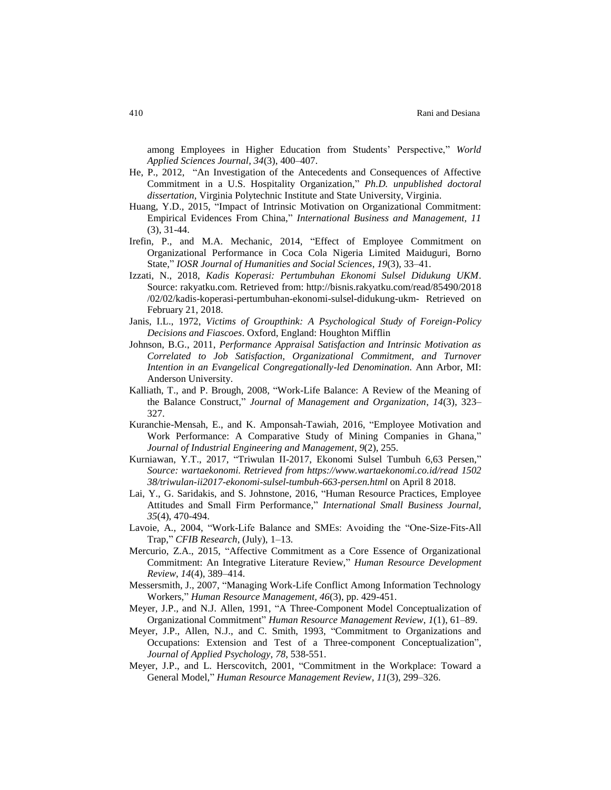among Employees in Higher Education from Students' Perspective," *World Applied Sciences Journal*, *34*(3), 400–407.

- He, P., 2012, "An Investigation of the Antecedents and Consequences of Affective Commitment in a U.S. Hospitality Organization," *Ph.D. unpublished doctoral dissertation*, Virginia Polytechnic Institute and State University, Virginia.
- Huang, Y.D., 2015, "Impact of Intrinsic Motivation on Organizational Commitment: Empirical Evidences From China," *International Business and Management, 11*  (3), 31-44.
- Irefin, P., and M.A. Mechanic, 2014, "Effect of Employee Commitment on Organizational Performance in Coca Cola Nigeria Limited Maiduguri, Borno State," *IOSR Journal of Humanities and Social Sciences*, *19*(3), 33–41.
- Izzati, N., 2018, *Kadis Koperasi: Pertumbuhan Ekonomi Sulsel Didukung UKM*. Source: rakyatku.com. Retrieved from: http://bisnis.rakyatku.com/read/85490/2018 /02/02/kadis-koperasi-pertumbuhan-ekonomi-sulsel-didukung-ukm- Retrieved on February 21, 2018.
- Janis, I.L., 1972, *Victims of Groupthink: A Psychological Study of Foreign-Policy Decisions and Fiascoes*. Oxford, England: Houghton Mifflin
- Johnson, B.G., 2011, *Performance Appraisal Satisfaction and Intrinsic Motivation as Correlated to Job Satisfaction, Organizational Commitment, and Turnover Intention in an Evangelical Congregationally-led Denomination.* Ann Arbor, MI: Anderson University.
- Kalliath, T., and P. Brough, 2008, "Work-Life Balance: A Review of the Meaning of the Balance Construct," *Journal of Management and Organization*, *14*(3), 323– 327.
- Kuranchie-Mensah, E., and K. Amponsah-Tawiah, 2016, "Employee Motivation and Work Performance: A Comparative Study of Mining Companies in Ghana," *Journal of Industrial Engineering and Management*, *9*(2), 255.
- Kurniawan, Y.T., 2017, "Triwulan II-2017, Ekonomi Sulsel Tumbuh 6,63 Persen," *Source: wartaekonomi. Retrieved from https://www.wartaekonomi.co.id/read 1502 38/triwulan-ii2017-ekonomi-sulsel-tumbuh-663-persen.html* on April 8 2018*.*
- Lai, Y., G. Saridakis, and S. Johnstone, 2016, "Human Resource Practices, Employee Attitudes and Small Firm Performance," *International Small Business Journal, 35*(4), 470-494.
- Lavoie, A., 2004, "Work-Life Balance and SMEs: Avoiding the "One-Size-Fits-All Trap," *CFIB Research*, (July), 1–13.
- Mercurio, Z.A., 2015, "Affective Commitment as a Core Essence of Organizational Commitment: An Integrative Literature Review," *Human Resource Development Review*, *14*(4), 389–414.
- Messersmith, J., 2007, "Managing Work-Life Conflict Among Information Technology Workers," *Human Resource Management, 46*(3), pp. 429-451.
- Meyer, J.P., and N.J. Allen, 1991, "A Three-Component Model Conceptualization of Organizational Commitment" *Human Resource Management Review*, *1*(1), 61–89.
- Meyer, J.P., Allen, N.J., and C. Smith, 1993, "Commitment to Organizations and Occupations: Extension and Test of a Three-component Conceptualization", *Journal of Applied Psychology*, *78*, 538-551.
- Meyer, J.P., and L. Herscovitch, 2001, "Commitment in the Workplace: Toward a General Model," *Human Resource Management Review*, *11*(3), 299–326.